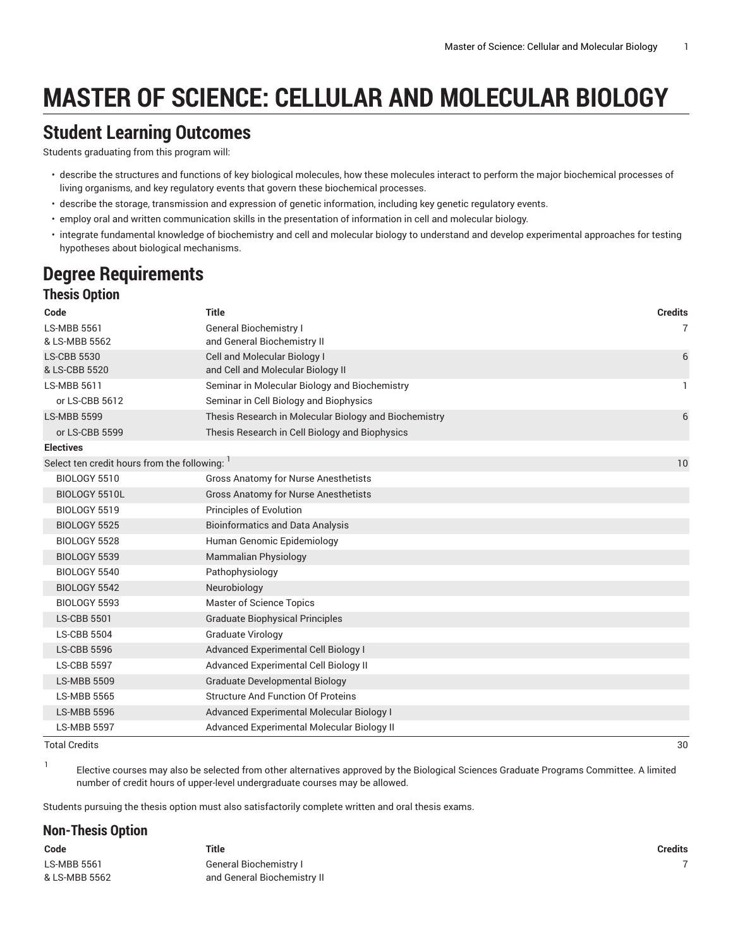# **MASTER OF SCIENCE: CELLULAR AND MOLECULAR BIOLOGY**

## **Student Learning Outcomes**

Students graduating from this program will:

- describe the storage, transmission and expression of genetic information, including key genetic regulatory events.
- employ oral and written communication skills in the presentation of information in cell and molecular biology.
- integrate fundamental knowledge of biochemistry and cell and molecular biology to understand and develop experimental approaches for testing hypotheses about biological mechanisms.

# **Degree Requirements**

### **Thesis Option**

| <b>Title</b><br><b>Credits</b><br>Code<br><b>LS-MBB 5561</b><br><b>General Biochemistry I</b><br>& LS-MBB 5562<br>and General Biochemistry II<br>Cell and Molecular Biology I<br><b>LS-CBB 5530</b><br>& LS-CBB 5520<br>and Cell and Molecular Biology II<br><b>LS-MBB 5611</b><br>Seminar in Molecular Biology and Biochemistry<br>Seminar in Cell Biology and Biophysics<br>or LS-CBB 5612<br><b>LS-MBB 5599</b><br>Thesis Research in Molecular Biology and Biochemistry | $\overline{7}$<br>6<br>1<br>6 |
|-----------------------------------------------------------------------------------------------------------------------------------------------------------------------------------------------------------------------------------------------------------------------------------------------------------------------------------------------------------------------------------------------------------------------------------------------------------------------------|-------------------------------|
|                                                                                                                                                                                                                                                                                                                                                                                                                                                                             |                               |
|                                                                                                                                                                                                                                                                                                                                                                                                                                                                             |                               |
|                                                                                                                                                                                                                                                                                                                                                                                                                                                                             |                               |
|                                                                                                                                                                                                                                                                                                                                                                                                                                                                             |                               |
|                                                                                                                                                                                                                                                                                                                                                                                                                                                                             |                               |
|                                                                                                                                                                                                                                                                                                                                                                                                                                                                             |                               |
|                                                                                                                                                                                                                                                                                                                                                                                                                                                                             |                               |
|                                                                                                                                                                                                                                                                                                                                                                                                                                                                             |                               |
| or LS-CBB 5599<br>Thesis Research in Cell Biology and Biophysics                                                                                                                                                                                                                                                                                                                                                                                                            |                               |
| <b>Electives</b>                                                                                                                                                                                                                                                                                                                                                                                                                                                            |                               |
| Select ten credit hours from the following:                                                                                                                                                                                                                                                                                                                                                                                                                                 | 10                            |
| <b>BIOLOGY 5510</b><br><b>Gross Anatomy for Nurse Anesthetists</b>                                                                                                                                                                                                                                                                                                                                                                                                          |                               |
| <b>Gross Anatomy for Nurse Anesthetists</b><br>BIOLOGY 5510L                                                                                                                                                                                                                                                                                                                                                                                                                |                               |
| BIOLOGY 5519<br><b>Principles of Evolution</b>                                                                                                                                                                                                                                                                                                                                                                                                                              |                               |
| BIOLOGY 5525<br><b>Bioinformatics and Data Analysis</b>                                                                                                                                                                                                                                                                                                                                                                                                                     |                               |
| Human Genomic Epidemiology<br>BIOLOGY 5528                                                                                                                                                                                                                                                                                                                                                                                                                                  |                               |
| <b>Mammalian Physiology</b><br>BIOLOGY 5539                                                                                                                                                                                                                                                                                                                                                                                                                                 |                               |
| BIOLOGY 5540<br>Pathophysiology                                                                                                                                                                                                                                                                                                                                                                                                                                             |                               |
| Neurobiology<br>BIOLOGY 5542                                                                                                                                                                                                                                                                                                                                                                                                                                                |                               |
| <b>Master of Science Topics</b><br><b>BIOLOGY 5593</b>                                                                                                                                                                                                                                                                                                                                                                                                                      |                               |
| <b>Graduate Biophysical Principles</b><br><b>LS-CBB 5501</b>                                                                                                                                                                                                                                                                                                                                                                                                                |                               |
| Graduate Virology<br><b>LS-CBB 5504</b>                                                                                                                                                                                                                                                                                                                                                                                                                                     |                               |
| Advanced Experimental Cell Biology I<br><b>LS-CBB 5596</b>                                                                                                                                                                                                                                                                                                                                                                                                                  |                               |
| <b>LS-CBB 5597</b><br>Advanced Experimental Cell Biology II                                                                                                                                                                                                                                                                                                                                                                                                                 |                               |
| <b>LS-MBB 5509</b><br><b>Graduate Developmental Biology</b>                                                                                                                                                                                                                                                                                                                                                                                                                 |                               |
| <b>Structure And Function Of Proteins</b><br><b>LS-MBB 5565</b>                                                                                                                                                                                                                                                                                                                                                                                                             |                               |
| Advanced Experimental Molecular Biology I<br><b>LS-MBB 5596</b>                                                                                                                                                                                                                                                                                                                                                                                                             |                               |
| <b>LS-MBB 5597</b><br>Advanced Experimental Molecular Biology II                                                                                                                                                                                                                                                                                                                                                                                                            |                               |

#### Total Credits 30

1

Elective courses may also be selected from other alternatives approved by the Biological Sciences Graduate Programs Committee. A limited number of credit hours of upper-level undergraduate courses may be allowed.

Students pursuing the thesis option must also satisfactorily complete written and oral thesis exams.

#### **Non-Thesis Option**

| Code          | Title                       | Credits |
|---------------|-----------------------------|---------|
| LS-MBB 5561   | General Biochemistry I      |         |
| & LS-MBB 5562 | and General Biochemistry II |         |

<sup>•</sup> describe the structures and functions of key biological molecules, how these molecules interact to perform the major biochemical processes of living organisms, and key regulatory events that govern these biochemical processes.